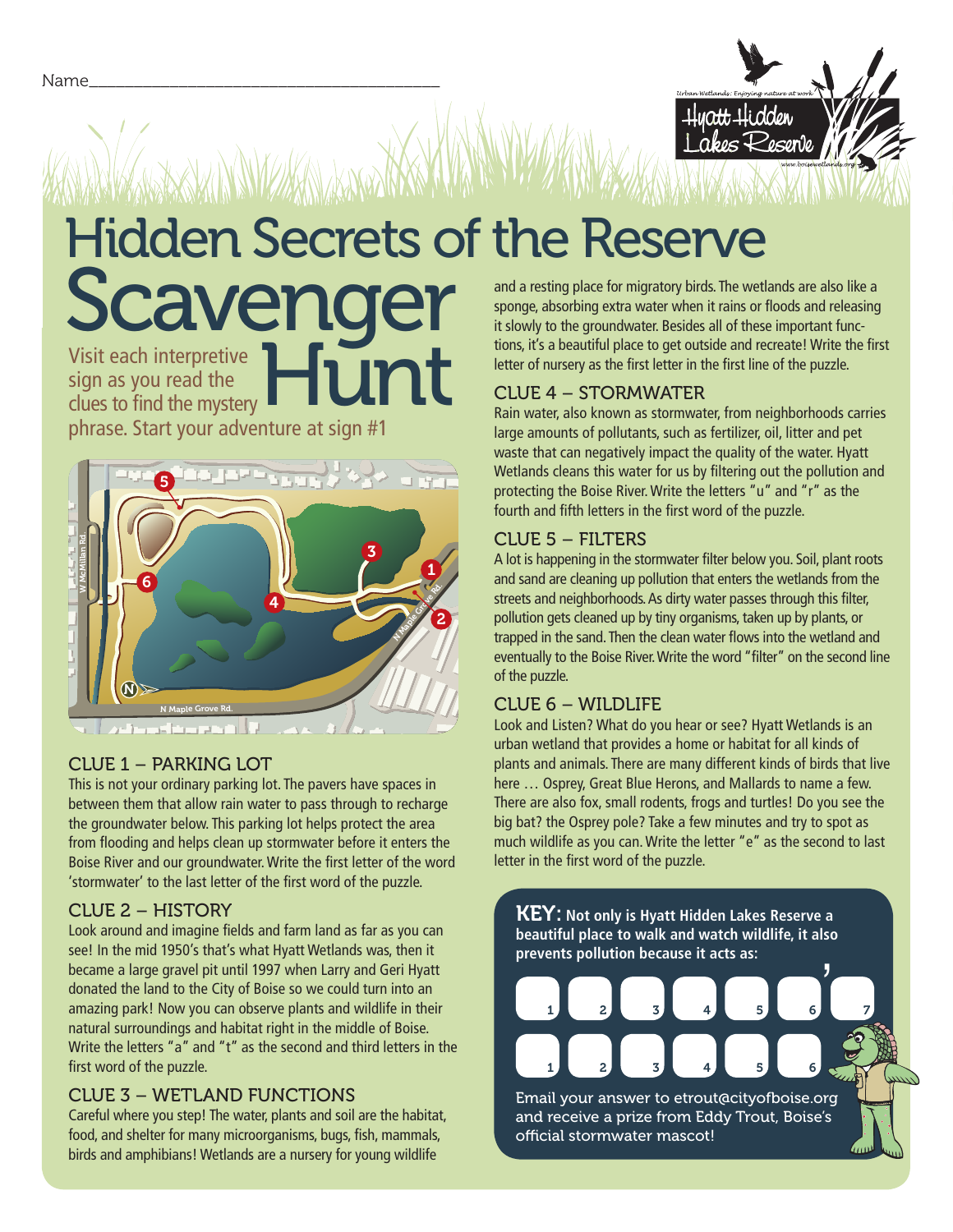

# Hidden Secrets of the Reserve Scavenger

Visit each interpretive<br>
sign as you read the<br>
clues to find the mystery sign as you read the clues to find the mystery phrase. Start your adventure at sign #1



#### CLUE 1 – PARKING LOT

This is not your ordinary parking lot. The pavers have spaces in between them that allow rain water to pass through to recharge the groundwater below. This parking lot helps protect the area from flooding and helps clean up stormwater before it enters the Boise River and our groundwater. Write the first letter of the word 'stormwater' to the last letter of the first word of the puzzle.

### CLUE 2 – HISTORY

Look around and imagine fields and farm land as far as you can see! In the mid 1950's that's what Hyatt Wetlands was, then it became a large gravel pit until 1997 when Larry and Geri Hyatt donated the land to the City of Boise so we could turn into an amazing park! Now you can observe plants and wildlife in their natural surroundings and habitat right in the middle of Boise. Write the letters "a" and "t" as the second and third letters in the first word of the puzzle.

### CLUE 3 – WETLAND FUNCTIONS

Careful where you step! The water, plants and soil are the habitat, food, and shelter for many microorganisms, bugs, fish, mammals, birds and amphibians! Wetlands are a nursery for young wildlife

and a resting place for migratory birds. The wetlands are also like a sponge, absorbing extra water when it rains or floods and releasing it slowly to the groundwater. Besides all of these important functions, it's a beautiful place to get outside and recreate! Write the first letter of nursery as the first letter in the first line of the puzzle.

### CLUE 4 – STORMWATER

Rain water, also known as stormwater, from neighborhoods carries large amounts of pollutants, such as fertilizer, oil, litter and pet waste that can negatively impact the quality of the water. Hyatt Wetlands cleans this water for us by filtering out the pollution and protecting the Boise River. Write the letters "u" and "r" as the fourth and fifth letters in the first word of the puzzle.

## $C$ LUE  $5 -$  FI

pollution gets cleaned up by tiny organisms, taken up by plants, or<br>trapped in the sand. Then the clean water flows into the wetland and<br>eventually to the Boise River. Write the word "filter" on the second line A lot is happening in the stormwater filter below you. Soil, plant roots and sand are cleaning up pollution that enters the wetlands from the streets and neighborhoods. As dirty water passes through this filter, pollution gets cleaned up by tiny organisms, taken up by plants, or trapped in the sand. Then the clean water flows into the wetland and of the puzzle.

### CLUE 6 – WILDLIFE

Look and Listen? What do you hear or see? Hyatt Wetlands is an urban wetland that provides a home or habitat for all kinds of plants and animals. There are many different kinds of birds that live here … Osprey, Great Blue Herons, and Mallards to name a few. There are also fox, small rodents, frogs and turtles! Do you see the big bat? the Osprey pole? Take a few minutes and try to spot as much wildlife as you can. Write the letter "e" as the second to last letter in the first word of the puzzle.

 $\frac{1}{2}$ KEY: **Not only is Hyatt Hidden Lakes Reserve a beautiful place to walk and watch wildlife, it also prevents pollution because it acts as:** Email your answer to etrout@cityofboise.org 1 2 3 4 5 6 7 1 2 3 4 5 6

and receive a prize from Eddy Trout, Boise's official stormwater mascot!